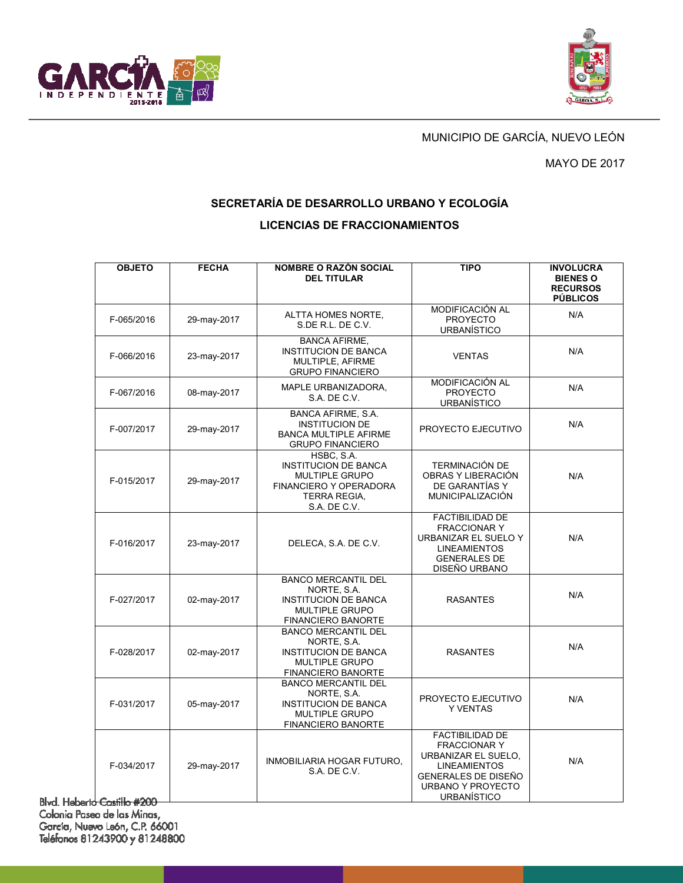



## MUNICIPIO DE GARCÍA, NUEVO LEÓN

#### MAYO DE 2017

## **SECRETARÍA DE DESARROLLO URBANO Y ECOLOGÍA**

#### **LICENCIAS DE FRACCIONAMIENTOS**

| <b>OBJETO</b>            | <b>FECHA</b> | <b>NOMBRE O RAZÓN SOCIAL</b>                                                                                                        | <b>TIPO</b>                                                                                                                                                          | <b>INVOLUCRA</b>                                      |
|--------------------------|--------------|-------------------------------------------------------------------------------------------------------------------------------------|----------------------------------------------------------------------------------------------------------------------------------------------------------------------|-------------------------------------------------------|
|                          |              | <b>DEL TITULAR</b>                                                                                                                  |                                                                                                                                                                      | <b>BIENES O</b><br><b>RECURSOS</b><br><b>PÚBLICOS</b> |
| F-065/2016               | 29-may-2017  | ALTTA HOMES NORTE,<br>S.DE R.L. DE C.V.                                                                                             | MODIFICACIÓN AL<br><b>PROYECTO</b><br><b>URBANÍSTICO</b>                                                                                                             | N/A                                                   |
| F-066/2016               | 23-may-2017  | <b>BANCA AFIRME,</b><br><b>INSTITUCION DE BANCA</b><br>MULTIPLE, AFIRME<br><b>GRUPO FINANCIERO</b>                                  | <b>VENTAS</b>                                                                                                                                                        | N/A                                                   |
| F-067/2016               | 08-may-2017  | MAPLE URBANIZADORA,<br>S.A. DE C.V.                                                                                                 | MODIFICACIÓN AL<br><b>PROYECTO</b><br><b>URBANÍSTICO</b>                                                                                                             | N/A                                                   |
| F-007/2017               | 29-may-2017  | BANCA AFIRME, S.A.<br><b>INSTITUCION DE</b><br><b>BANCA MULTIPLE AFIRME</b><br><b>GRUPO FINANCIERO</b>                              | PROYECTO EJECUTIVO                                                                                                                                                   | N/A                                                   |
| F-015/2017               | 29-may-2017  | HSBC, S.A.<br><b>INSTITUCION DE BANCA</b><br><b>MULTIPLE GRUPO</b><br>FINANCIERO Y OPERADORA<br><b>TERRA REGIA.</b><br>S.A. DE C.V. | <b>TERMINACIÓN DE</b><br>OBRAS Y LIBERACIÓN<br>DE GARANTÍAS Y<br>MUNICIPALIZACIÓN                                                                                    | N/A                                                   |
| F-016/2017               | 23-may-2017  | DELECA, S.A. DE C.V.                                                                                                                | <b>FACTIBILIDAD DE</b><br><b>FRACCIONAR Y</b><br>URBANIZAR EL SUELO Y<br><b>LINEAMIENTOS</b><br><b>GENERALES DE</b><br>DISEÑO URBANO                                 | N/A                                                   |
| F-027/2017               | 02-may-2017  | <b>BANCO MERCANTIL DEL</b><br>NORTE, S.A.<br><b>INSTITUCION DE BANCA</b><br><b>MULTIPLE GRUPO</b><br><b>FINANCIERO BANORTE</b>      | <b>RASANTES</b>                                                                                                                                                      | N/A                                                   |
| F-028/2017               | 02-may-2017  | <b>BANCO MERCANTIL DEL</b><br>NORTE, S.A.<br><b>INSTITUCION DE BANCA</b><br><b>MULTIPLE GRUPO</b><br><b>FINANCIERO BANORTE</b>      | <b>RASANTES</b>                                                                                                                                                      | N/A                                                   |
| F-031/2017               | 05-may-2017  | <b>BANCO MERCANTIL DEL</b><br>NORTE, S.A.<br><b>INSTITUCION DE BANCA</b><br><b>MULTIPLE GRUPO</b><br>FINANCIERO BANORTE             | PROYECTO EJECUTIVO<br><b>Y VENTAS</b>                                                                                                                                | N/A                                                   |
| F-034/2017<br>കച്ചിം കാര | 29-may-2017  | INMOBILIARIA HOGAR FUTURO.<br>S.A. DE C.V.                                                                                          | <b>FACTIBILIDAD DE</b><br><b>FRACCIONAR Y</b><br>URBANIZAR EL SUELO.<br><b>LINEAMIENTOS</b><br><b>GENERALES DE DISEÑO</b><br>URBANO Y PROYECTO<br><b>URBANÍSTICO</b> | N/A                                                   |

Blvd. Heberto Castillo #200 Colonia Paseo de las Minas, García, Nuevo León, C.P. 66001<br>Teléfonos 81243900 y 81248800